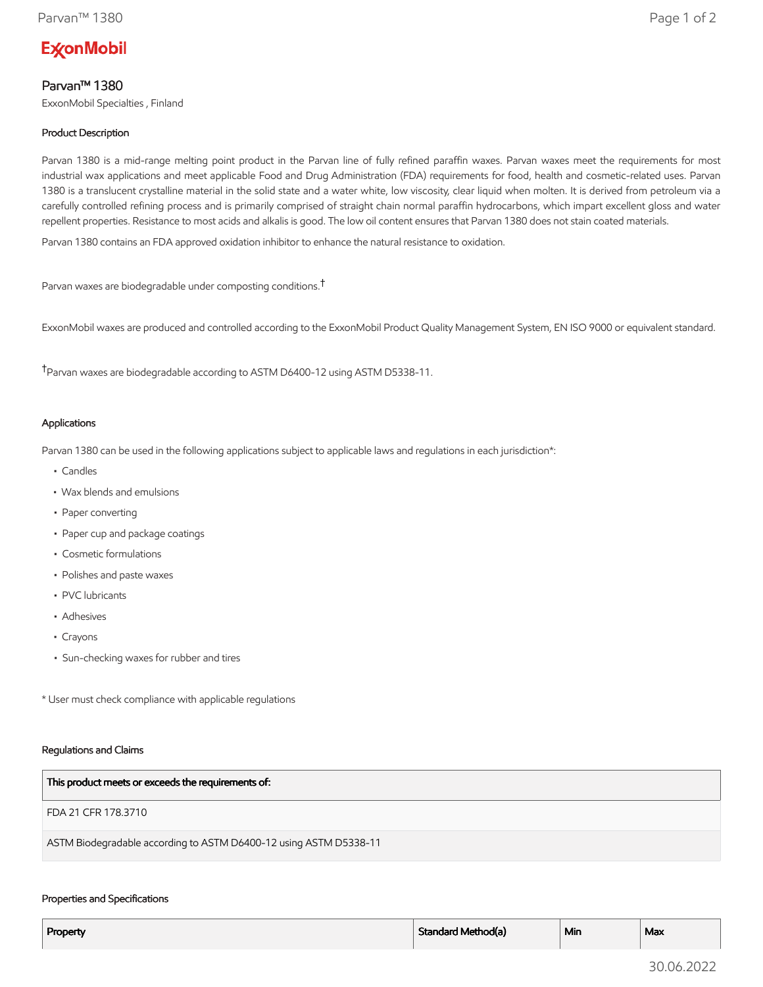# **ExconMobil**

# Parvan™ 1380

ExxonMobil Specialties , Finland

## Product Description

Parvan 1380 is a mid-range melting point product in the Parvan line of fully refined paraffin waxes. Parvan waxes meet the requirements for most industrial wax applications and meet applicable Food and Drug Administration (FDA) requirements for food, health and cosmetic-related uses. Parvan 1380 is a translucent crystalline material in the solid state and a water white, low viscosity, clear liquid when molten. It is derived from petroleum via a carefully controlled refining process and is primarily comprised of straight chain normal paraffin hydrocarbons, which impart excellent gloss and water repellent properties. Resistance to most acids and alkalis is good. The low oil content ensures that Parvan 1380 does not stain coated materials.

Parvan 1380 contains an FDA approved oxidation inhibitor to enhance the natural resistance to oxidation.

Parvan waxes are biodegradable under composting conditions.†

ExxonMobil waxes are produced and controlled according to the ExxonMobil Product Quality Management System, EN ISO 9000 or equivalent standard.

†Parvan waxes are biodegradable according to ASTM D6400-12 using ASTM D5338-11.

## Applications

Parvan 1380 can be used in the following applications subject to applicable laws and regulations in each jurisdiction\*:

- Candles
- Wax blends and emulsions
- Paper converting
- Paper cup and package coatings
- Cosmetic formulations
- Polishes and paste waxes
- PVC lubricants
- Adhesives
- Crayons
- Sun-checking waxes for rubber and tires

\* User must check compliance with applicable regulations

#### Regulations and Claims

| This product meets or exceeds the requirements of:                |
|-------------------------------------------------------------------|
| FDA 21 CFR 178.3710                                               |
| ASTM Biodegradable according to ASTM D6400-12 using ASTM D5338-11 |

### Properties and Specifications

| Property | Standard Method(a) | Min | Max |
|----------|--------------------|-----|-----|
|          |                    |     |     |